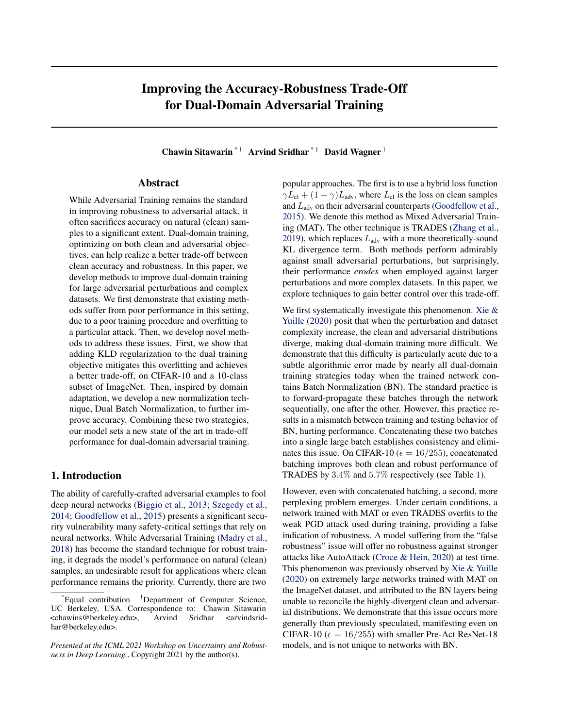# Improving the Accuracy-Robustness Trade-Off for Dual-Domain Adversarial Training

Chawin Sitawarin  $*1$  Arvind Sridhar  $*1$  David Wagner  $1$ 

### Abstract

While Adversarial Training remains the standard in improving robustness to adversarial attack, it often sacrifices accuracy on natural (clean) samples to a significant extent. Dual-domain training, optimizing on both clean and adversarial objectives, can help realize a better trade-off between clean accuracy and robustness. In this paper, we develop methods to improve dual-domain training for large adversarial perturbations and complex datasets. We first demonstrate that existing methods suffer from poor performance in this setting, due to a poor training procedure and overfitting to a particular attack. Then, we develop novel methods to address these issues. First, we show that adding KLD regularization to the dual training objective mitigates this overfitting and achieves a better trade-off, on CIFAR-10 and a 10-class subset of ImageNet. Then, inspired by domain adaptation, we develop a new normalization technique, Dual Batch Normalization, to further improve accuracy. Combining these two strategies, our model sets a new state of the art in trade-off performance for dual-domain adversarial training.

### 1. Introduction

The ability of carefully-crafted adversarial examples to fool deep neural networks [\(Biggio et al.,](#page-4-0) [2013;](#page-4-0) [Szegedy et al.,](#page-5-0) [2014;](#page-5-0) [Goodfellow et al.,](#page-4-0) [2015\)](#page-4-0) presents a significant security vulnerability many safety-critical settings that rely on neural networks. While Adversarial Training [\(Madry et al.,](#page-4-0) [2018\)](#page-4-0) has become the standard technique for robust training, it degrads the model's performance on natural (clean) samples, an undesirable result for applications where clean performance remains the priority. Currently, there are two

popular approaches. The first is to use a hybrid loss function  $\gamma L_{\rm cl} + (1 - \gamma) L_{\rm adv}$ , where  $L_{\rm cl}$  is the loss on clean samples and  $L_{\text{adv}}$  on their adversarial counterparts [\(Goodfellow et al.,](#page-4-0) [2015\)](#page-4-0). We denote this method as Mixed Adversarial Training (MAT). The other technique is TRADES [\(Zhang et al.,](#page-5-0) [2019\)](#page-5-0), which replaces  $L_{\text{adv}}$  with a more theoretically-sound KL divergence term. Both methods perform admirably against small adversarial perturbations, but surprisingly, their performance *erodes* when employed against larger perturbations and more complex datasets. In this paper, we explore techniques to gain better control over this trade-off.

We first systematically investigate this phenomenon. [Xie &](#page-5-0) [Yuille](#page-5-0) [\(2020\)](#page-5-0) posit that when the perturbation and dataset complexity increase, the clean and adversarial distributions diverge, making dual-domain training more difficult. We demonstrate that this difficulty is particularly acute due to a subtle algorithmic error made by nearly all dual-domain training strategies today when the trained network contains Batch Normalization (BN). The standard practice is to forward-propagate these batches through the network sequentially, one after the other. However, this practice results in a mismatch between training and testing behavior of BN, hurting performance. Concatenating these two batches into a single large batch establishes consistency and eliminates this issue. On CIFAR-10 ( $\epsilon = 16/255$ ), concatenated batching improves both clean and robust performance of TRADES by 3.4% and 5.7% respectively (see Table [1\)](#page-2-0).

However, even with concatenated batching, a second, more perplexing problem emerges. Under certain conditions, a network trained with MAT or even TRADES overfits to the weak PGD attack used during training, providing a false indication of robustness. A model suffering from the "false robustness" issue will offer no robustness against stronger attacks like AutoAttack [\(Croce & Hein,](#page-4-0) [2020\)](#page-4-0) at test time. This phenomenon was previously observed by [Xie & Yuille](#page-5-0) [\(2020\)](#page-5-0) on extremely large networks trained with MAT on the ImageNet dataset, and attributed to the BN layers being unable to reconcile the highly-divergent clean and adversarial distributions. We demonstrate that this issue occurs more generally than previously speculated, manifesting even on CIFAR-10 ( $\epsilon = 16/255$ ) with smaller Pre-Act ResNet-18 models, and is not unique to networks with BN.

Equal contribution <sup>1</sup>Department of Computer Science, UC Berkeley, USA. Correspondence to: Chawin Sitawarin <chawins@berkeley.edu>, Arvind Sridhar <arvindsridhar@berkeley.edu>.

*Presented at the ICML 2021 Workshop on Uncertainty and Robustness in Deep Learning.*, Copyright 2021 by the author(s).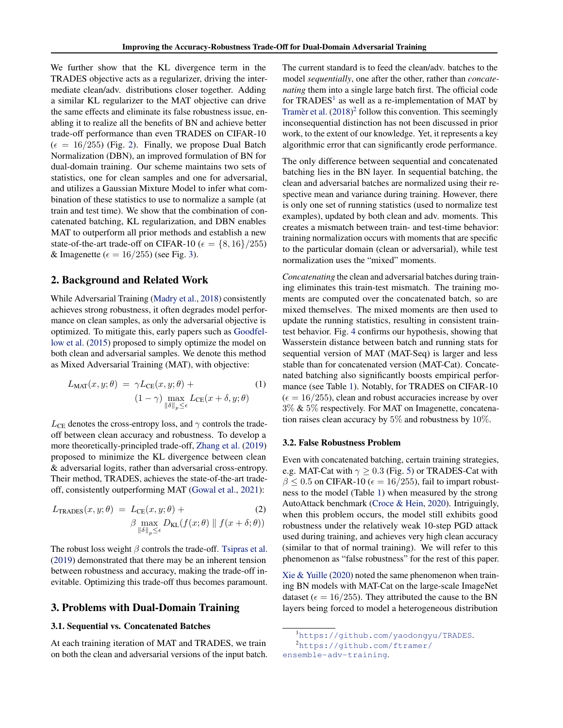<span id="page-1-0"></span>We further show that the KL divergence term in the TRADES objective acts as a regularizer, driving the intermediate clean/adv. distributions closer together. Adding a similar KL regularizer to the MAT objective can drive the same effects and eliminate its false robustness issue, enabling it to realize all the benefits of BN and achieve better trade-off performance than even TRADES on CIFAR-10  $(\epsilon = 16/255)$  (Fig. [2\)](#page-3-0). Finally, we propose Dual Batch Normalization (DBN), an improved formulation of BN for dual-domain training. Our scheme maintains two sets of statistics, one for clean samples and one for adversarial, and utilizes a Gaussian Mixture Model to infer what combination of these statistics to use to normalize a sample (at train and test time). We show that the combination of concatenated batching, KL regularization, and DBN enables MAT to outperform all prior methods and establish a new state-of-the-art trade-off on CIFAR-10 ( $\epsilon = \{8, 16\}/255$ ) & Imagenette ( $\epsilon = 16/255$ ) (see Fig. [3\)](#page-3-0).

### 2. Background and Related Work

While Adversarial Training [\(Madry et al.,](#page-4-0) [2018\)](#page-4-0) consistently achieves strong robustness, it often degrades model performance on clean samples, as only the adversarial objective is optimized. To mitigate this, early papers such as [Goodfel](#page-4-0)[low et al.](#page-4-0) [\(2015\)](#page-4-0) proposed to simply optimize the model on both clean and adversarial samples. We denote this method as Mixed Adversarial Training (MAT), with objective:

$$
L_{\text{MAT}}(x, y; \theta) = \gamma L_{\text{CE}}(x, y; \theta) +
$$
  

$$
(1 - \gamma) \max_{\|\delta\|_p \le \epsilon} L_{\text{CE}}(x + \delta, y; \theta)
$$
 (1)

 $L_{CE}$  denotes the cross-entropy loss, and  $\gamma$  controls the tradeoff between clean accuracy and robustness. To develop a more theoretically-principled trade-off, [Zhang et al.](#page-5-0) [\(2019\)](#page-5-0) proposed to minimize the KL divergence between clean & adversarial logits, rather than adversarial cross-entropy. Their method, TRADES, achieves the state-of-the-art tradeoff, consistently outperforming MAT [\(Gowal et al.,](#page-4-0) [2021\)](#page-4-0):

$$
L_{\text{TRADES}}(x, y; \theta) = L_{\text{CE}}(x, y; \theta) + \beta \max_{\|\delta\|_p \le \epsilon} D_{\text{KL}}(f(x; \theta) \| f(x + \delta; \theta))
$$

The robust loss weight  $\beta$  controls the trade-off. [Tsipras et al.](#page-5-0) [\(2019\)](#page-5-0) demonstrated that there may be an inherent tension between robustness and accuracy, making the trade-off inevitable. Optimizing this trade-off thus becomes paramount.

#### 3. Problems with Dual-Domain Training

#### 3.1. Sequential vs. Concatenated Batches

At each training iteration of MAT and TRADES, we train on both the clean and adversarial versions of the input batch. The current standard is to feed the clean/adv. batches to the model *sequentially*, one after the other, rather than *concatenating* them into a single large batch first. The official code for  $TRADES<sup>1</sup>$  as well as a re-implementation of MAT by [Tramèr et al.](#page-5-0)  $(2018)^2$  $(2018)^2$  follow this convention. This seemingly inconsequential distinction has not been discussed in prior work, to the extent of our knowledge. Yet, it represents a key algorithmic error that can significantly erode performance.

The only difference between sequential and concatenated batching lies in the BN layer. In sequential batching, the clean and adversarial batches are normalized using their respective mean and variance during training. However, there is only one set of running statistics (used to normalize test examples), updated by both clean and adv. moments. This creates a mismatch between train- and test-time behavior: training normalization occurs with moments that are specific to the particular domain (clean or adversarial), while test normalization uses the "mixed" moments.

*Concatenating* the clean and adversarial batches during training eliminates this train-test mismatch. The training moments are computed over the concatenated batch, so are mixed themselves. The mixed moments are then used to update the running statistics, resulting in consistent traintest behavior. Fig. [4](#page-7-0) confirms our hypothesis, showing that Wasserstein distance between batch and running stats for sequential version of MAT (MAT-Seq) is larger and less stable than for concatenated version (MAT-Cat). Concatenated batching also significantly boosts empirical performance (see Table [1\)](#page-2-0). Notably, for TRADES on CIFAR-10  $(\epsilon = 16/255)$ , clean and robust accuracies increase by over 3% & 5% respectively. For MAT on Imagenette, concatenation raises clean accuracy by 5% and robustness by 10%.

#### 3.2. False Robustness Problem

Even with concatenated batching, certain training strategies, e.g. MAT-Cat with  $\gamma \geq 0.3$  (Fig. [5\)](#page-7-0) or TRADES-Cat with  $\beta \leq 0.5$  on CIFAR-10 ( $\epsilon = 16/255$ ), fail to impart robustness to the model (Table [1\)](#page-2-0) when measured by the strong AutoAttack benchmark [\(Croce & Hein,](#page-4-0) [2020\)](#page-4-0). Intriguingly, when this problem occurs, the model still exhibits good robustness under the relatively weak 10-step PGD attack used during training, and achieves very high clean accuracy (similar to that of normal training). We will refer to this phenomenon as "false robustness" for the rest of this paper.

[Xie & Yuille](#page-5-0) [\(2020\)](#page-5-0) noted the same phenomenon when training BN models with MAT-Cat on the large-scale ImageNet dataset ( $\epsilon = 16/255$ ). They attributed the cause to the BN layers being forced to model a heterogeneous distribution

<sup>1</sup><https://github.com/yaodongyu/TRADES>.

<sup>2</sup>[https://github.com/ftramer/](https://github.com/ftramer/ensemble-adv-training)

[ensemble-adv-training](https://github.com/ftramer/ensemble-adv-training).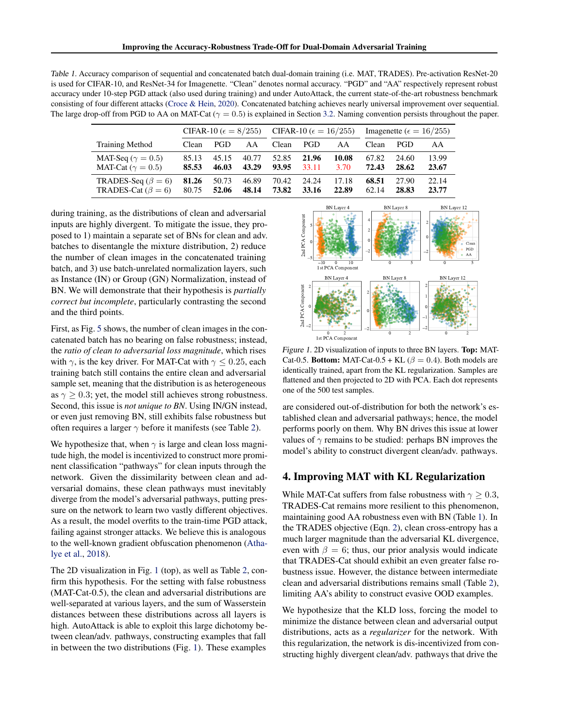<span id="page-2-0"></span>Table 1. Accuracy comparison of sequential and concatenated batch dual-domain training (i.e. MAT, TRADES). Pre-activation ResNet-20 is used for CIFAR-10, and ResNet-34 for Imagenette. "Clean" denotes normal accuracy. "PGD" and "AA" respectively represent robust accuracy under 10-step PGD attack (also used during training) and under AutoAttack, the current state-of-the-art robustness benchmark consisting of four different attacks [\(Croce & Hein,](#page-4-0) [2020\)](#page-4-0). Concatenated batching achieves nearly universal improvement over sequential. The large drop-off from PGD to AA on MAT-Cat ( $\gamma = 0.5$ ) is explained in Section [3.2.](#page-1-0) Naming convention persists throughout the paper.

|                            | CIFAR-10 ( $\epsilon = 8/255$ ) |       |       | CIFAR-10 ( $\epsilon = 16/255$ ) |       |       | Imagenette ( $\epsilon = 16/255$ ) |            |       |
|----------------------------|---------------------------------|-------|-------|----------------------------------|-------|-------|------------------------------------|------------|-------|
| <b>Training Method</b>     | Clean                           | PGD   | AA    | Clean                            | PGD   | ΑA    | Clean                              | <b>PGD</b> | AA    |
| MAT-Seq ( $\gamma = 0.5$ ) | 85.13                           | 45.15 | 40.77 | 52.85                            | 21.96 | 10.08 | 67.82                              | 24.60      | 13.99 |
| MAT-Cat ( $\gamma = 0.5$ ) | 85.53                           | 46.03 | 43.29 | 93.95                            | 33.11 | 3.70  | 72.43                              | 28.62      | 23.67 |
| TRADES-Seq ( $\beta = 6$ ) | 81.26                           | 50.73 | 46.89 | 70.42                            | 24.24 | 17.18 | 68.51                              | 27.90      | 22.14 |
| TRADES-Cat ( $\beta = 6$ ) | 80.75                           | 52.06 | 48.14 | 73.82                            | 33.16 | 22.89 | 62.14                              | 28.83      | 23.77 |

during training, as the distributions of clean and adversarial inputs are highly divergent. To mitigate the issue, they proposed to 1) maintain a separate set of BNs for clean and adv. batches to disentangle the mixture distribution, 2) reduce the number of clean images in the concatenated training batch, and 3) use batch-unrelated normalization layers, such as Instance (IN) or Group (GN) Normalization, instead of BN. We will demonstrate that their hypothesis is *partially correct but incomplete*, particularly contrasting the second and the third points.

First, as Fig. [5](#page-7-0) shows, the number of clean images in the concatenated batch has no bearing on false robustness; instead, the *ratio of clean to adversarial loss magnitude*, which rises with  $\gamma$ , is the key driver. For MAT-Cat with  $\gamma$  < 0.25, each training batch still contains the entire clean and adversarial sample set, meaning that the distribution is as heterogeneous as  $\gamma \geq 0.3$ ; yet, the model still achieves strong robustness. Second, this issue is *not unique to BN*. Using IN/GN instead, or even just removing BN, still exhibits false robustness but often requires a larger  $\gamma$  before it manifests (see Table [2\)](#page-8-0).

We hypothesize that, when  $\gamma$  is large and clean loss magnitude high, the model is incentivized to construct more prominent classification "pathways" for clean inputs through the network. Given the dissimilarity between clean and adversarial domains, these clean pathways must inevitably diverge from the model's adversarial pathways, putting pressure on the network to learn two vastly different objectives. As a result, the model overfits to the train-time PGD attack, failing against stronger attacks. We believe this is analogous to the well-known gradient obfuscation phenomenon [\(Atha](#page-4-0)[lye et al.,](#page-4-0) [2018\)](#page-4-0).

The 2D visualization in Fig. 1 (top), as well as Table [2,](#page-8-0) confirm this hypothesis. For the setting with false robustness (MAT-Cat-0.5), the clean and adversarial distributions are well-separated at various layers, and the sum of Wasserstein distances between these distributions across all layers is high. AutoAttack is able to exploit this large dichotomy between clean/adv. pathways, constructing examples that fall in between the two distributions (Fig. 1). These examples



Figure 1. 2D visualization of inputs to three BN layers. Top: MAT-Cat-0.5. Bottom: MAT-Cat-0.5 + KL ( $\beta$  = 0.4). Both models are identically trained, apart from the KL regularization. Samples are flattened and then projected to 2D with PCA. Each dot represents one of the 500 test samples.

are considered out-of-distribution for both the network's established clean and adversarial pathways; hence, the model performs poorly on them. Why BN drives this issue at lower values of  $\gamma$  remains to be studied: perhaps BN improves the model's ability to construct divergent clean/adv. pathways.

### 4. Improving MAT with KL Regularization

While MAT-Cat suffers from false robustness with  $\gamma > 0.3$ , TRADES-Cat remains more resilient to this phenomenon, maintaining good AA robustness even with BN (Table 1). In the TRADES objective (Eqn. [2\)](#page-1-0), clean cross-entropy has a much larger magnitude than the adversarial KL divergence, even with  $\beta = 6$ ; thus, our prior analysis would indicate that TRADES-Cat should exhibit an even greater false robustness issue. However, the distance between intermediate clean and adversarial distributions remains small (Table [2\)](#page-8-0), limiting AA's ability to construct evasive OOD examples.

We hypothesize that the KLD loss, forcing the model to minimize the distance between clean and adversarial output distributions, acts as a *regularizer* for the network. With this regularization, the network is dis-incentivized from constructing highly divergent clean/adv. pathways that drive the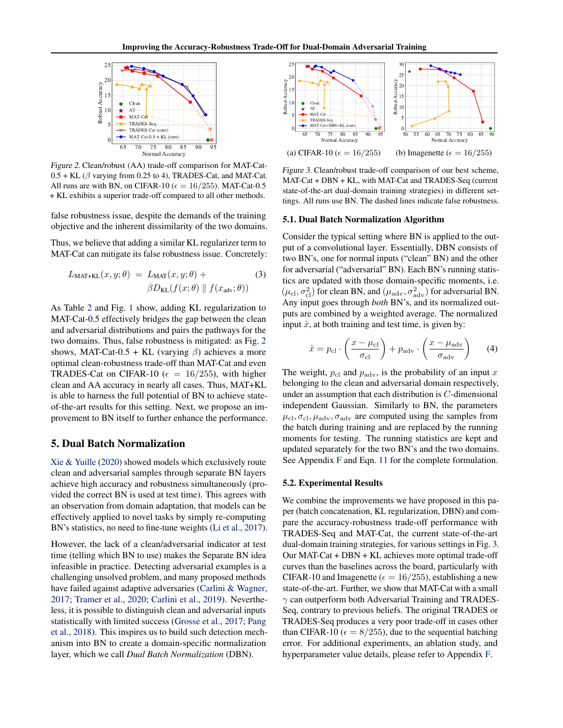<span id="page-3-0"></span>

Figure 2. Clean/robust (AA) trade-off comparison for MAT-Cat- $0.5 + KL$  ( $\beta$  varying from 0.25 to 4), TRADES-Cat, and MAT-Cat. All runs are with BN, on CIFAR-10 ( $\epsilon = 16/255$ ). MAT-Cat-0.5 + KL exhibits a superior trade-off compared to all other methods.

false robustness issue, despite the demands of the training objective and the inherent dissimilarity of the two domains.

Thus, we believe that adding a similar KL regularizer term to MAT-Cat can mitigate its false robustness issue. Concretely:

$$
L_{\text{MAT+KL}}(x, y; \theta) = L_{\text{MAT}}(x, y; \theta) +
$$
  

$$
\beta D_{\text{KL}}(f(x; \theta) \parallel f(x_{\text{adv}}; \theta))
$$
 (3)

As Table [2](#page-8-0) and Fig. [1](#page-2-0) show, adding KL regularization to MAT-Cat-0.5 effectively bridges the gap between the clean and adversarial distributions and pairs the pathways for the two domains. Thus, false robustness is mitigated: as Fig. 2 shows, MAT-Cat-0.5 + KL (varying  $\beta$ ) achieves a more optimal clean-robustness trade-off than MAT-Cat and even TRADES-Cat on CIFAR-10 ( $\epsilon = 16/255$ ), with higher clean and AA accuracy in nearly all cases. Thus, MAT+KL is able to harness the full potential of BN to achieve stateof-the-art results for this setting. Next, we propose an improvement to BN itself to further enhance the performance.

### 5. Dual Batch Normalization

[Xie & Yuille](#page-5-0) [\(2020\)](#page-5-0) showed models which exclusively route clean and adversarial samples through separate BN layers achieve high accuracy and robustness simultaneously (provided the correct BN is used at test time). This agrees with an observation from domain adaptation, that models can be effectively applied to novel tasks by simply re-computing BN's statistics, no need to fine-tune weights [\(Li et al.,](#page-4-0) [2017\)](#page-4-0).

However, the lack of a clean/adversarial indicator at test time (telling which BN to use) makes the Separate BN idea infeasible in practice. Detecting adversarial examples is a challenging unsolved problem, and many proposed methods have failed against adaptive adversaries [\(Carlini & Wagner,](#page-4-0) [2017;](#page-4-0) [Tramer et al.,](#page-5-0) [2020;](#page-5-0) [Carlini et al.,](#page-4-0) [2019\)](#page-4-0). Nevertheless, it is possible to distinguish clean and adversarial inputs statistically with limited success [\(Grosse et al.,](#page-4-0) [2017;](#page-4-0) [Pang](#page-4-0) [et al.,](#page-4-0) [2018\)](#page-4-0). This inspires us to build such detection mechanism into BN to create a domain-specific normalization layer, which we call *Dual Batch Normalization* (DBN).



Figure 3. Clean/robust trade-off comparison of our best scheme, MAT-Cat + DBN + KL, with MAT-Cat and TRADES-Seq (current state-of-the-art dual-domain training strategies) in different settings. All runs use BN. The dashed lines indicate false robustness.

#### 5.1. Dual Batch Normalization Algorithm

Consider the typical setting where BN is applied to the output of a convolutional layer. Essentially, DBN consists of two BN's, one for normal inputs ("clean" BN) and the other for adversarial ("adversarial" BN). Each BN's running statistics are updated with those domain-specific moments, i.e.  $(\mu_{\rm cl}, \sigma_{\rm cl}^2)$  for clean BN, and  $(\mu_{\rm adv}, \sigma_{\rm adv}^2)$  for adversarial BN. Any input goes through *both* BN's, and its normalized outputs are combined by a weighted average. The normalized input  $\hat{x}$ , at both training and test time, is given by:

$$
\hat{x} = p_{\rm cl} \cdot \left(\frac{x - \mu_{\rm cl}}{\sigma_{\rm cl}}\right) + p_{\rm adv} \cdot \left(\frac{x - \mu_{\rm adv}}{\sigma_{\rm adv}}\right) \tag{4}
$$

The weight,  $p_{\text{cl}}$  and  $p_{\text{adv}}$ , is the probability of an input x belonging to the clean and adversarial domain respectively, under an assumption that each distribution is C-dimensional independent Gaussian. Similarly to BN, the parameters  $\mu_{\rm cl}, \sigma_{\rm cl}, \mu_{\rm adv}, \sigma_{\rm adv}$  are computed using the samples from the batch during training and are replaced by the running moments for testing. The running statistics are kept and updated separately for the two BN's and the two domains. See Appendix [F](#page-8-0) and Eqn. [11](#page-8-0) for the complete formulation.

#### 5.2. Experimental Results

We combine the improvements we have proposed in this paper (batch concatenation, KL regularization, DBN) and compare the accuracy-robustness trade-off performance with TRADES-Seq and MAT-Cat, the current state-of-the-art dual-domain training strategies, for various settings in Fig. 3. Our MAT-Cat + DBN + KL achieves more optimal trade-off curves than the baselines across the board, particularly with CIFAR-10 and Imagenette ( $\epsilon = 16/255$ ), establishing a new state-of-the-art. Further, we show that MAT-Cat with a small  $\gamma$  can outperform both Adversarial Training and TRADES-Seq, contrary to previous beliefs. The original TRADES or TRADES-Seq produces a very poor trade-off in cases other than CIFAR-10 ( $\epsilon = 8/255$ ), due to the sequential batching error. For additional experiments, an ablation study, and hyperparameter value details, please refer to Appendix [F.](#page-8-0)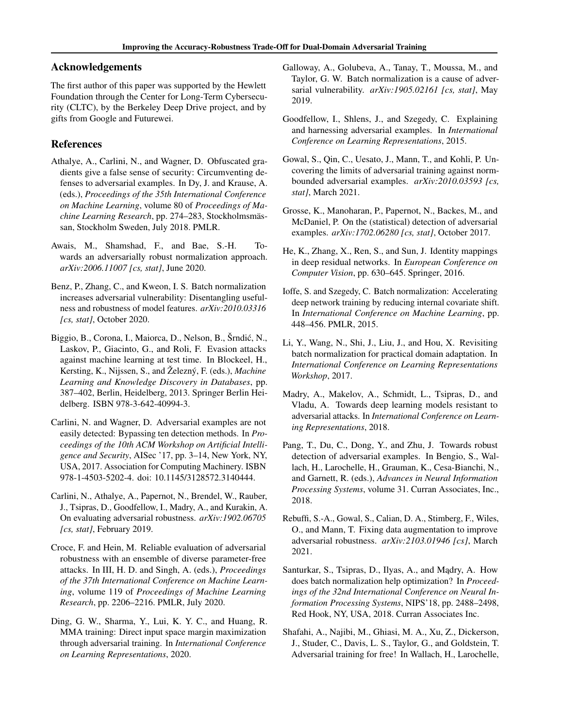### <span id="page-4-0"></span>Acknowledgements

The first author of this paper was supported by the Hewlett Foundation through the Center for Long-Term Cybersecurity (CLTC), by the Berkeley Deep Drive project, and by gifts from Google and Futurewei.

### References

- Athalye, A., Carlini, N., and Wagner, D. Obfuscated gradients give a false sense of security: Circumventing defenses to adversarial examples. In Dy, J. and Krause, A. (eds.), *Proceedings of the 35th International Conference on Machine Learning*, volume 80 of *Proceedings of Machine Learning Research*, pp. 274–283, Stockholmsmässan, Stockholm Sweden, July 2018. PMLR.
- Awais, M., Shamshad, F., and Bae, S.-H. Towards an adversarially robust normalization approach. *arXiv:2006.11007 [cs, stat]*, June 2020.
- Benz, P., Zhang, C., and Kweon, I. S. Batch normalization increases adversarial vulnerability: Disentangling usefulness and robustness of model features. *arXiv:2010.03316 [cs, stat]*, October 2020.
- Biggio, B., Corona, I., Maiorca, D., Nelson, B., Šrndic, N., ´ Laskov, P., Giacinto, G., and Roli, F. Evasion attacks against machine learning at test time. In Blockeel, H., Kersting, K., Nijssen, S., and Železný, F. (eds.), *Machine Learning and Knowledge Discovery in Databases*, pp. 387–402, Berlin, Heidelberg, 2013. Springer Berlin Heidelberg. ISBN 978-3-642-40994-3.
- Carlini, N. and Wagner, D. Adversarial examples are not easily detected: Bypassing ten detection methods. In *Proceedings of the 10th ACM Workshop on Artificial Intelligence and Security*, AISec '17, pp. 3–14, New York, NY, USA, 2017. Association for Computing Machinery. ISBN 978-1-4503-5202-4. doi: 10.1145/3128572.3140444.
- Carlini, N., Athalye, A., Papernot, N., Brendel, W., Rauber, J., Tsipras, D., Goodfellow, I., Madry, A., and Kurakin, A. On evaluating adversarial robustness. *arXiv:1902.06705 [cs, stat]*, February 2019.
- Croce, F. and Hein, M. Reliable evaluation of adversarial robustness with an ensemble of diverse parameter-free attacks. In III, H. D. and Singh, A. (eds.), *Proceedings of the 37th International Conference on Machine Learning*, volume 119 of *Proceedings of Machine Learning Research*, pp. 2206–2216. PMLR, July 2020.
- Ding, G. W., Sharma, Y., Lui, K. Y. C., and Huang, R. MMA training: Direct input space margin maximization through adversarial training. In *International Conference on Learning Representations*, 2020.
- Galloway, A., Golubeva, A., Tanay, T., Moussa, M., and Taylor, G. W. Batch normalization is a cause of adversarial vulnerability. *arXiv:1905.02161 [cs, stat]*, May 2019.
- Goodfellow, I., Shlens, J., and Szegedy, C. Explaining and harnessing adversarial examples. In *International Conference on Learning Representations*, 2015.
- Gowal, S., Qin, C., Uesato, J., Mann, T., and Kohli, P. Uncovering the limits of adversarial training against normbounded adversarial examples. *arXiv:2010.03593 [cs, stat]*, March 2021.
- Grosse, K., Manoharan, P., Papernot, N., Backes, M., and McDaniel, P. On the (statistical) detection of adversarial examples. *arXiv:1702.06280 [cs, stat]*, October 2017.
- He, K., Zhang, X., Ren, S., and Sun, J. Identity mappings in deep residual networks. In *European Conference on Computer Vision*, pp. 630–645. Springer, 2016.
- Ioffe, S. and Szegedy, C. Batch normalization: Accelerating deep network training by reducing internal covariate shift. In *International Conference on Machine Learning*, pp. 448–456. PMLR, 2015.
- Li, Y., Wang, N., Shi, J., Liu, J., and Hou, X. Revisiting batch normalization for practical domain adaptation. In *International Conference on Learning Representations Workshop*, 2017.
- Madry, A., Makelov, A., Schmidt, L., Tsipras, D., and Vladu, A. Towards deep learning models resistant to adversarial attacks. In *International Conference on Learning Representations*, 2018.
- Pang, T., Du, C., Dong, Y., and Zhu, J. Towards robust detection of adversarial examples. In Bengio, S., Wallach, H., Larochelle, H., Grauman, K., Cesa-Bianchi, N., and Garnett, R. (eds.), *Advances in Neural Information Processing Systems*, volume 31. Curran Associates, Inc., 2018.
- Rebuffi, S.-A., Gowal, S., Calian, D. A., Stimberg, F., Wiles, O., and Mann, T. Fixing data augmentation to improve adversarial robustness. *arXiv:2103.01946 [cs]*, March 2021.
- Santurkar, S., Tsipras, D., Ilyas, A., and Mądry, A. How does batch normalization help optimization? In *Proceedings of the 32nd International Conference on Neural Information Processing Systems*, NIPS'18, pp. 2488–2498, Red Hook, NY, USA, 2018. Curran Associates Inc.
- Shafahi, A., Najibi, M., Ghiasi, M. A., Xu, Z., Dickerson, J., Studer, C., Davis, L. S., Taylor, G., and Goldstein, T. Adversarial training for free! In Wallach, H., Larochelle,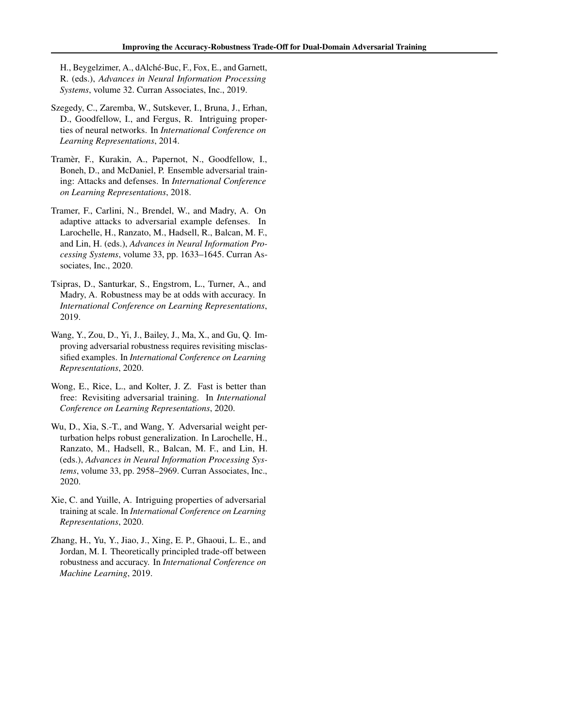<span id="page-5-0"></span>H., Beygelzimer, A., dAlché-Buc, F., Fox, E., and Garnett, R. (eds.), *Advances in Neural Information Processing Systems*, volume 32. Curran Associates, Inc., 2019.

- Szegedy, C., Zaremba, W., Sutskever, I., Bruna, J., Erhan, D., Goodfellow, I., and Fergus, R. Intriguing properties of neural networks. In *International Conference on Learning Representations*, 2014.
- Tramèr, F., Kurakin, A., Papernot, N., Goodfellow, I., Boneh, D., and McDaniel, P. Ensemble adversarial training: Attacks and defenses. In *International Conference on Learning Representations*, 2018.
- Tramer, F., Carlini, N., Brendel, W., and Madry, A. On adaptive attacks to adversarial example defenses. In Larochelle, H., Ranzato, M., Hadsell, R., Balcan, M. F., and Lin, H. (eds.), *Advances in Neural Information Processing Systems*, volume 33, pp. 1633–1645. Curran Associates, Inc., 2020.
- Tsipras, D., Santurkar, S., Engstrom, L., Turner, A., and Madry, A. Robustness may be at odds with accuracy. In *International Conference on Learning Representations*, 2019.
- Wang, Y., Zou, D., Yi, J., Bailey, J., Ma, X., and Gu, Q. Improving adversarial robustness requires revisiting misclassified examples. In *International Conference on Learning Representations*, 2020.
- Wong, E., Rice, L., and Kolter, J. Z. Fast is better than free: Revisiting adversarial training. In *International Conference on Learning Representations*, 2020.
- Wu, D., Xia, S.-T., and Wang, Y. Adversarial weight perturbation helps robust generalization. In Larochelle, H., Ranzato, M., Hadsell, R., Balcan, M. F., and Lin, H. (eds.), *Advances in Neural Information Processing Systems*, volume 33, pp. 2958–2969. Curran Associates, Inc., 2020.
- Xie, C. and Yuille, A. Intriguing properties of adversarial training at scale. In *International Conference on Learning Representations*, 2020.
- Zhang, H., Yu, Y., Jiao, J., Xing, E. P., Ghaoui, L. E., and Jordan, M. I. Theoretically principled trade-off between robustness and accuracy. In *International Conference on Machine Learning*, 2019.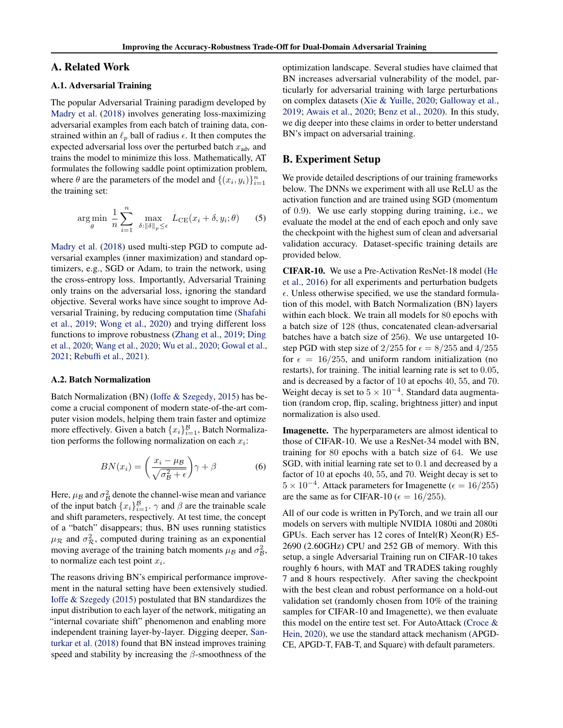### A. Related Work

#### A.1. Adversarial Training

The popular Adversarial Training paradigm developed by [Madry et al.](#page-4-0) [\(2018\)](#page-4-0) involves generating loss-maximizing adversarial examples from each batch of training data, constrained within an  $\ell_p$  ball of radius  $\epsilon$ . It then computes the expected adversarial loss over the perturbed batch  $x_{\text{adv}}$  and trains the model to minimize this loss. Mathematically, AT formulates the following saddle point optimization problem, where  $\theta$  are the parameters of the model and  $\{(x_i, y_i)\}_{i=1}^n$ the training set:

$$
\arg\min_{\theta} \frac{1}{n} \sum_{i=1}^{n} \max_{\delta: \|\delta\|_{p} \leq \epsilon} L_{\text{CE}}(x_i + \delta, y_i; \theta) \tag{5}
$$

[Madry et al.](#page-4-0) [\(2018\)](#page-4-0) used multi-step PGD to compute adversarial examples (inner maximization) and standard optimizers, e.g., SGD or Adam, to train the network, using the cross-entropy loss. Importantly, Adversarial Training only trains on the adversarial loss, ignoring the standard objective. Several works have since sought to improve Adversarial Training, by reducing computation time [\(Shafahi](#page-4-0) [et al.,](#page-4-0) [2019;](#page-4-0) [Wong et al.,](#page-5-0) [2020\)](#page-5-0) and trying different loss functions to improve robustness [\(Zhang et al.,](#page-5-0) [2019;](#page-5-0) [Ding](#page-4-0) [et al.,](#page-4-0) [2020;](#page-4-0) [Wang et al.,](#page-5-0) [2020;](#page-5-0) [Wu et al.,](#page-5-0) [2020;](#page-5-0) [Gowal et al.,](#page-4-0) [2021;](#page-4-0) [Rebuffi et al.,](#page-4-0) [2021\)](#page-4-0).

#### A.2. Batch Normalization

Batch Normalization (BN) [\(Ioffe & Szegedy,](#page-4-0) [2015\)](#page-4-0) has become a crucial component of modern state-of-the-art computer vision models, helping them train faster and optimize more effectively. Given a batch  $\{x_i\}_{i=1}^{\mathcal{B}}$ , Batch Normalization performs the following normalization on each  $x_i$ :

$$
BN(x_i) = \left(\frac{x_i - \mu_B}{\sqrt{\sigma_B^2 + \epsilon}}\right)\gamma + \beta \tag{6}
$$

Here,  $\mu_B$  and  $\sigma_B^2$  denote the channel-wise mean and variance of the input batch  $\{x_i\}_{i=1}^{\mathcal{B}}$ .  $\gamma$  and  $\beta$  are the trainable scale and shift parameters, respectively. At test time, the concept of a "batch" disappears; thus, BN uses running statistics  $\mu_{\mathcal{R}}$  and  $\sigma_{\mathcal{R}}^2$ , computed during training as an exponential moving average of the training batch moments  $\mu_B$  and  $\sigma_B^2$ , to normalize each test point  $x_i$ .

The reasons driving BN's empirical performance improvement in the natural setting have been extensively studied. [Ioffe & Szegedy](#page-4-0) [\(2015\)](#page-4-0) postulated that BN standardizes the input distribution to each layer of the network, mitigating an "internal covariate shift" phenomenon and enabling more independent training layer-by-layer. Digging deeper, [San](#page-4-0)[turkar et al.](#page-4-0) [\(2018\)](#page-4-0) found that BN instead improves training speed and stability by increasing the  $\beta$ -smoothness of the

optimization landscape. Several studies have claimed that BN increases adversarial vulnerability of the model, particularly for adversarial training with large perturbations on complex datasets [\(Xie & Yuille,](#page-5-0) [2020;](#page-5-0) [Galloway et al.,](#page-4-0) [2019;](#page-4-0) [Awais et al.,](#page-4-0) [2020;](#page-4-0) [Benz et al.,](#page-4-0) [2020\)](#page-4-0). In this study, we dig deeper into these claims in order to better understand BN's impact on adversarial training.

### B. Experiment Setup

We provide detailed descriptions of our training frameworks below. The DNNs we experiment with all use ReLU as the activation function and are trained using SGD (momentum of 0.9). We use early stopping during training, i.e., we evaluate the model at the end of each epoch and only save the checkpoint with the highest sum of clean and adversarial validation accuracy. Dataset-specific training details are provided below.

CIFAR-10. We use a Pre-Activation ResNet-18 model [\(He](#page-4-0) [et al.,](#page-4-0) [2016\)](#page-4-0) for all experiments and perturbation budgets  $\epsilon$ . Unless otherwise specified, we use the standard formulation of this model, with Batch Normalization (BN) layers within each block. We train all models for 80 epochs with a batch size of 128 (thus, concatenated clean-adversarial batches have a batch size of 256). We use untargeted 10 step PGD with step size of 2/255 for  $\epsilon = 8/255$  and 4/255 for  $\epsilon = 16/255$ , and uniform random initialization (no restarts), for training. The initial learning rate is set to 0.05, and is decreased by a factor of 10 at epochs 40, 55, and 70. Weight decay is set to  $5 \times 10^{-4}$ . Standard data augmentation (random crop, flip, scaling, brightness jitter) and input normalization is also used.

Imagenette. The hyperparameters are almost identical to those of CIFAR-10. We use a ResNet-34 model with BN, training for 80 epochs with a batch size of 64. We use SGD, with initial learning rate set to 0.1 and decreased by a factor of 10 at epochs 40, 55, and 70. Weight decay is set to  $5 \times 10^{-4}$ . Attack parameters for Imagenette ( $\epsilon = 16/255$ ) are the same as for CIFAR-10 ( $\epsilon = 16/255$ ).

All of our code is written in PyTorch, and we train all our models on servers with multiple NVIDIA 1080ti and 2080ti GPUs. Each server has 12 cores of Intel(R) Xeon(R) E5- 2690 (2.60GHz) CPU and 252 GB of memory. With this setup, a single Adversarial Training run on CIFAR-10 takes roughly 6 hours, with MAT and TRADES taking roughly 7 and 8 hours respectively. After saving the checkpoint with the best clean and robust performance on a hold-out validation set (randomly chosen from 10% of the training samples for CIFAR-10 and Imagenette), we then evaluate this model on the entire test set. For AutoAttack [\(Croce &](#page-4-0) [Hein,](#page-4-0) [2020\)](#page-4-0), we use the standard attack mechanism (APGD-CE, APGD-T, FAB-T, and Square) with default parameters.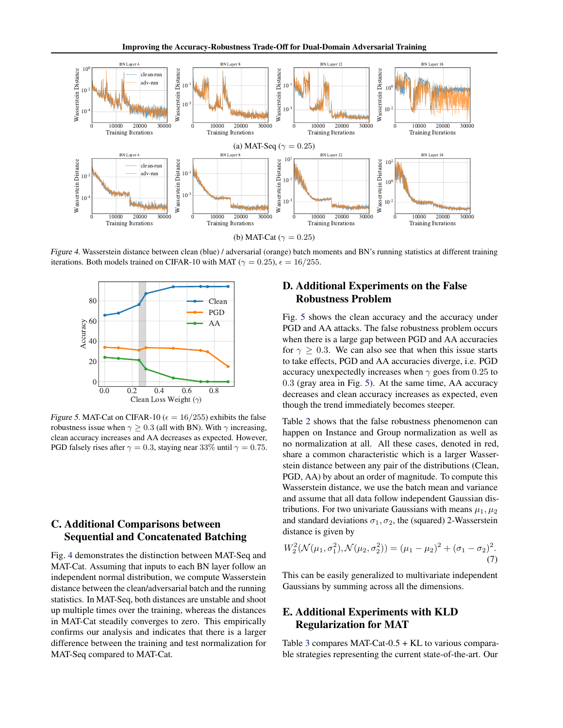<span id="page-7-0"></span>

Figure 4. Wasserstein distance between clean (blue) / adversarial (orange) batch moments and BN's running statistics at different training iterations. Both models trained on CIFAR-10 with MAT ( $\gamma = 0.25$ ),  $\epsilon = 16/255$ .



Figure 5. MAT-Cat on CIFAR-10 ( $\epsilon = 16/255$ ) exhibits the false robustness issue when  $\gamma \geq 0.3$  (all with BN). With  $\gamma$  increasing, clean accuracy increases and AA decreases as expected. However, PGD falsely rises after  $\gamma = 0.3$ , staying near 33% until  $\gamma = 0.75$ .

# C. Additional Comparisons between Sequential and Concatenated Batching

Fig. 4 demonstrates the distinction between MAT-Seq and MAT-Cat. Assuming that inputs to each BN layer follow an independent normal distribution, we compute Wasserstein distance between the clean/adversarial batch and the running statistics. In MAT-Seq, both distances are unstable and shoot up multiple times over the training, whereas the distances in MAT-Cat steadily converges to zero. This empirically confirms our analysis and indicates that there is a larger difference between the training and test normalization for MAT-Seq compared to MAT-Cat.

# D. Additional Experiments on the False Robustness Problem

Fig. 5 shows the clean accuracy and the accuracy under PGD and AA attacks. The false robustness problem occurs when there is a large gap between PGD and AA accuracies for  $\gamma \geq 0.3$ . We can also see that when this issue starts to take effects, PGD and AA accuracies diverge, i.e. PGD accuracy unexpectedly increases when  $\gamma$  goes from 0.25 to 0.3 (gray area in Fig. 5). At the same time, AA accuracy decreases and clean accuracy increases as expected, even though the trend immediately becomes steeper.

Table [2](#page-8-0) shows that the false robustness phenomenon can happen on Instance and Group normalization as well as no normalization at all. All these cases, denoted in red, share a common characteristic which is a larger Wasserstein distance between any pair of the distributions (Clean, PGD, AA) by about an order of magnitude. To compute this Wasserstein distance, we use the batch mean and variance and assume that all data follow independent Gaussian distributions. For two univariate Gaussians with means  $\mu_1, \mu_2$ and standard deviations  $\sigma_1, \sigma_2$ , the (squared) 2-Wasserstein distance is given by

$$
W_2^2(\mathcal{N}(\mu_1, \sigma_1^2), \mathcal{N}(\mu_2, \sigma_2^2)) = (\mu_1 - \mu_2)^2 + (\sigma_1 - \sigma_2)^2.
$$
\n(7)

This can be easily generalized to multivariate independent Gaussians by summing across all the dimensions.

# E. Additional Experiments with KLD Regularization for MAT

Table [3](#page-8-0) compares MAT-Cat-0.5 + KL to various comparable strategies representing the current state-of-the-art. Our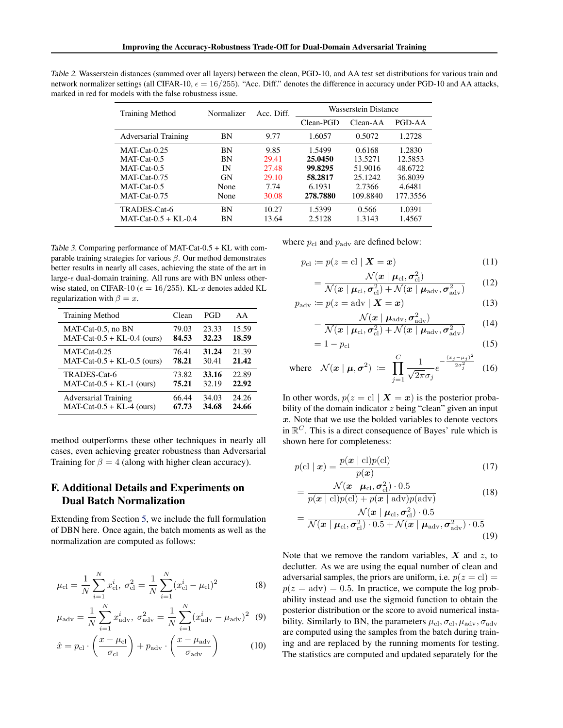<span id="page-8-0"></span>Table 2. Wasserstein distances (summed over all layers) between the clean, PGD-10, and AA test set distributions for various train and network normalizer settings (all CIFAR-10,  $\epsilon = 16/255$ ). "Acc. Diff." denotes the difference in accuracy under PGD-10 and AA attacks, marked in red for models with the false robustness issue.

| <b>Training Method</b> | Normalizer | Acc. Diff. | Wasserstein Distance |          |          |  |  |
|------------------------|------------|------------|----------------------|----------|----------|--|--|
|                        |            |            | Clean-PGD            | Clean-AA | PGD-AA   |  |  |
| Adversarial Training   | ΒN         | 9.77       | 1.6057               | 0.5072   | 1.2728   |  |  |
| $MAT-Cat-0.25$         | BN         | 9.85       | 1.5499               | 0.6168   | 1.2830   |  |  |
| $MAT-Cat-0.5$          | BN         | 29.41      | 25.0450              | 13.5271  | 12.5853  |  |  |
| $MAT-Cat-0.5$          | IN         | 27.48      | 99.8295              | 51.9016  | 48.6722  |  |  |
| $MAT-Cat-0.75$         | GN         | 29.10      | 58.2817              | 25.1242  | 36.8039  |  |  |
| MAT-Cat-0.5            | None       | 7.74       | 6.1931               | 2.7366   | 4.6481   |  |  |
| $MAT-Cat-0.75$         | None       | 30.08      | 278.7880             | 109.8840 | 177.3556 |  |  |
| TRADES-Cat-6           | BN         | 10.27      | 1.5399               | 0.566    | 1.0391   |  |  |
| $MAT-Cat-0.5 + KL-0.4$ | ΒN         | 13.64      | 2.5128               | 1.3143   | 1.4567   |  |  |

Table 3. Comparing performance of MAT-Cat-0.5 + KL with comparable training strategies for various  $\beta$ . Our method demonstrates better results in nearly all cases, achieving the state of the art in large- $\epsilon$  dual-domain training. All runs are with BN unless otherwise stated, on CIFAR-10 ( $\epsilon = 16/255$ ). KL-x denotes added KL regularization with  $\beta = x$ .

| <b>Training Method</b>        | Clean | PGD   | AA    |
|-------------------------------|-------|-------|-------|
| MAT-Cat-0.5, no BN            | 79.03 | 23.33 | 15.59 |
| $MAT-Cat-0.5 + KL-0.4$ (ours) | 84.53 | 32.23 | 18.59 |
| $MAT-Cat-0.25$                | 76.41 | 31.24 | 21.39 |
| $MAT-Cat-0.5 + KL-0.5$ (ours) | 78.21 | 30.41 | 21.42 |
| TRADES-Cat-6                  | 73.82 | 33.16 | 22.89 |
| $MAT-Cat-0.5 + KL-1$ (ours)   | 75.21 | 32.19 | 22.92 |
| <b>Adversarial Training</b>   | 66.44 | 34.03 | 24.26 |
| $MAT-Cat-0.5 + KL-4$ (ours)   | 67.73 | 34.68 | 24.66 |

method outperforms these other techniques in nearly all cases, even achieving greater robustness than Adversarial Training for  $\beta = 4$  (along with higher clean accuracy).

## F. Additional Details and Experiments on Dual Batch Normalization

Extending from Section [5,](#page-3-0) we include the full formulation of DBN here. Once again, the batch moments as well as the normalization are computed as follows:

$$
\mu_{\rm cl} = \frac{1}{N} \sum_{i=1}^{N} x_{\rm cl}^i, \ \sigma_{\rm cl}^2 = \frac{1}{N} \sum_{i=1}^{N} (x_{\rm cl}^i - \mu_{\rm cl})^2 \tag{8}
$$

$$
\mu_{\rm adv} = \frac{1}{N} \sum_{i=1}^{N} x_{\rm adv}^{i}, \ \sigma_{\rm adv}^{2} = \frac{1}{N} \sum_{i=1}^{N} (x_{\rm adv}^{i} - \mu_{\rm adv})^{2} \tag{9}
$$

$$
\hat{x} = p_{\rm cl} \cdot \left(\frac{x - \mu_{\rm cl}}{\sigma_{\rm cl}}\right) + p_{\rm adv} \cdot \left(\frac{x - \mu_{\rm adv}}{\sigma_{\rm adv}}\right) \tag{10}
$$

where  $p_{\text{cl}}$  and  $p_{\text{adv}}$  are defined below:

$$
p_{\text{cl}} := p(z = \text{cl} \mid \mathbf{X} = \mathbf{x}) \tag{11}
$$

$$
= \frac{\mathcal{N}(\boldsymbol{x} \mid \boldsymbol{\mu}_{\text{cl}}, \boldsymbol{\sigma}_{\text{cl}}^2)}{\mathcal{N}(\boldsymbol{x} \mid \boldsymbol{\mu}_{\text{cl}}, \boldsymbol{\sigma}_{\text{cl}}^2) + \mathcal{N}(\boldsymbol{x} \mid \boldsymbol{\mu}_{\text{adv}}, \boldsymbol{\sigma}_{\text{adv}}^2)}
$$
(12)

$$
p_{\text{adv}} \coloneqq p(z = \text{adv} \mid \mathbf{X} = \mathbf{x}) \tag{13}
$$

$$
= \frac{\mathcal{N}(x \mid \boldsymbol{\mu}_{\text{adv}}, \boldsymbol{\sigma}_{\text{adv}}^2)}{\mathcal{N}(x \mid \boldsymbol{\mu}_{\text{cl}}, \boldsymbol{\sigma}_{\text{cl}}^2) + \mathcal{N}(x \mid \boldsymbol{\mu}_{\text{adv}}, \boldsymbol{\sigma}_{\text{adv}}^2)}
$$
(14)

$$
=1-p_{\rm cl} \tag{15}
$$

where 
$$
\mathcal{N}(x \mid \boldsymbol{\mu}, \boldsymbol{\sigma}^2) \coloneqq \prod_{j=1}^C \frac{1}{\sqrt{2\pi}\sigma_j} e^{-\frac{(x_j - \mu_j)^2}{2\sigma_j^2}}
$$
 (16)

In other words,  $p(z = c) | X = x)$  is the posterior probability of the domain indicator  $z$  being "clean" given an input  $x$ . Note that we use the bolded variables to denote vectors in  $\mathbb{R}^C$ . This is a direct consequence of Bayes' rule which is shown here for completeness:

$$
p(\text{cl} \mid \boldsymbol{x}) = \frac{p(\boldsymbol{x} \mid \text{cl})p(\text{cl})}{p(\boldsymbol{x})}
$$
(17)

$$
= \frac{\mathcal{N}(x \mid \boldsymbol{\mu}_{\rm cl}, \boldsymbol{\sigma}_{\rm cl}^2) \cdot 0.5}{p(x \mid \rm cl)p(\rm cl) + p(x \mid \rm adv)p(\rm adv)}
$$
(18)

$$
= \frac{\mathcal{N}(x \mid \boldsymbol{\mu}_{\text{cl}}, \boldsymbol{\sigma}_{\text{cl}}^2) \cdot 0.5}{\mathcal{N}(x \mid \boldsymbol{\mu}_{\text{cl}}, \boldsymbol{\sigma}_{\text{cl}}^2) \cdot 0.5 + \mathcal{N}(x \mid \boldsymbol{\mu}_{\text{adv}}, \boldsymbol{\sigma}_{\text{adv}}^2) \cdot 0.5}
$$
\n(19)

Note that we remove the random variables,  $X$  and  $z$ , to declutter. As we are using the equal number of clean and adversarial samples, the priors are uniform, i.e.  $p(z = c)$  =  $p(z = adv) = 0.5$ . In practice, we compute the log probability instead and use the sigmoid function to obtain the posterior distribution or the score to avoid numerical instability. Similarly to BN, the parameters  $\mu_{\text{cl}}, \sigma_{\text{cl}}, \mu_{\text{adv}}, \sigma_{\text{adv}}$ are computed using the samples from the batch during training and are replaced by the running moments for testing. The statistics are computed and updated separately for the